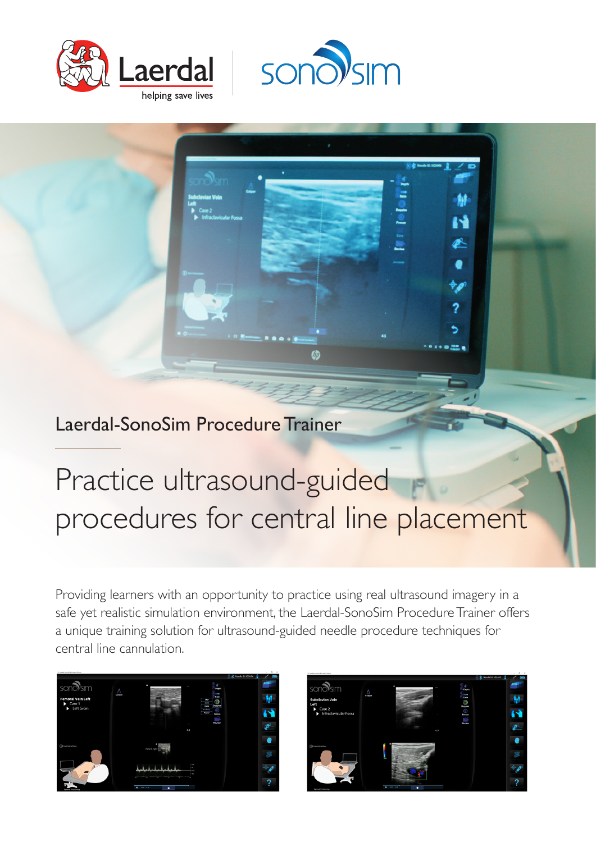



Laerdal-SonoSim Procedure Trainer

# Practice ultrasound-guided procedures for central line placement

Providing learners with an opportunity to practice using real ultrasound imagery in a safe yet realistic simulation environment, the Laerdal-SonoSim Procedure Trainer offers a unique training solution for ultrasound-guided needle procedure techniques for central line cannulation.